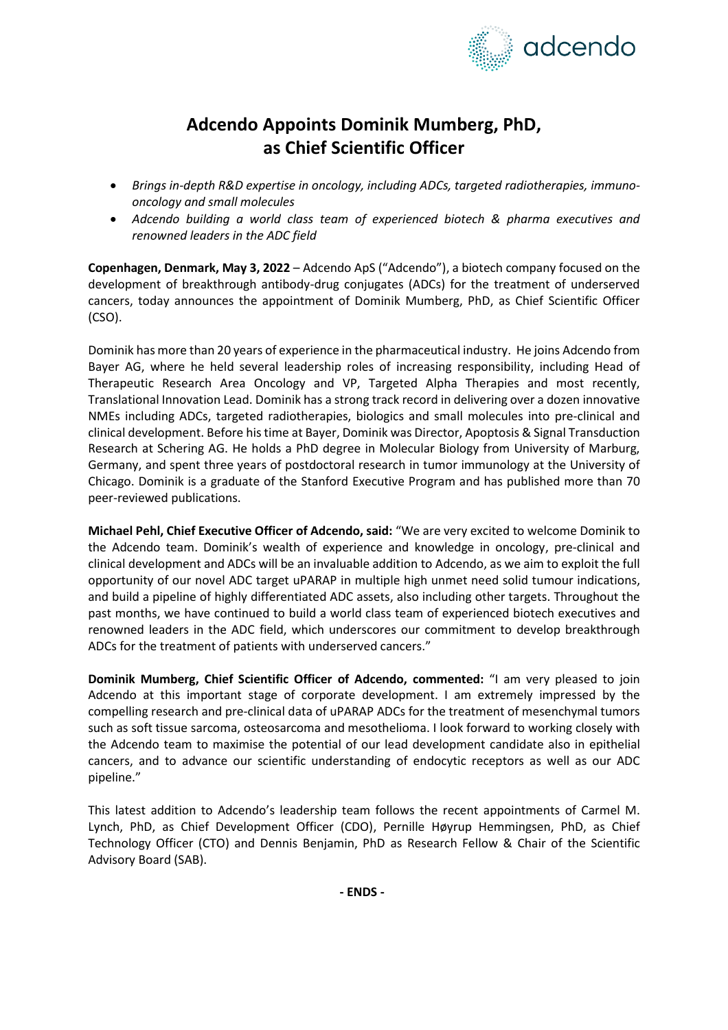

# **Adcendo Appoints Dominik Mumberg, PhD, as Chief Scientific Officer**

- *Brings in-depth R&D expertise in oncology, including ADCs, targeted radiotherapies, immunooncology and small molecules*
- *Adcendo building a world class team of experienced biotech & pharma executives and renowned leaders in the ADC field*

**Copenhagen, Denmark, May 3, 2022** – Adcendo ApS ("Adcendo"), a biotech company focused on the development of breakthrough antibody-drug conjugates (ADCs) for the treatment of underserved cancers, today announces the appointment of Dominik Mumberg, PhD, as Chief Scientific Officer (CSO).

Dominik has more than 20 years of experience in the pharmaceutical industry. He joins Adcendo from Bayer AG, where he held several leadership roles of increasing responsibility, including Head of Therapeutic Research Area Oncology and VP, Targeted Alpha Therapies and most recently, Translational Innovation Lead. Dominik has a strong track record in delivering over a dozen innovative NMEs including ADCs, targeted radiotherapies, biologics and small molecules into pre-clinical and clinical development. Before his time at Bayer, Dominik was Director, Apoptosis & Signal Transduction Research at Schering AG. He holds a PhD degree in Molecular Biology from University of Marburg, Germany, and spent three years of postdoctoral research in tumor immunology at the University of Chicago. Dominik is a graduate of the Stanford Executive Program and has published more than 70 peer-reviewed publications.

**Michael Pehl, Chief Executive Officer of Adcendo, said:** "We are very excited to welcome Dominik to the Adcendo team. Dominik's wealth of experience and knowledge in oncology, pre-clinical and clinical development and ADCs will be an invaluable addition to Adcendo, as we aim to exploit the full opportunity of our novel ADC target uPARAP in multiple high unmet need solid tumour indications, and build a pipeline of highly differentiated ADC assets, also including other targets. Throughout the past months, we have continued to build a world class team of experienced biotech executives and renowned leaders in the ADC field, which underscores our commitment to develop breakthrough ADCs for the treatment of patients with underserved cancers."

**Dominik Mumberg, Chief Scientific Officer of Adcendo, commented:** "I am very pleased to join Adcendo at this important stage of corporate development. I am extremely impressed by the compelling research and pre-clinical data of uPARAP ADCs for the treatment of mesenchymal tumors such as soft tissue sarcoma, osteosarcoma and mesothelioma. I look forward to working closely with the Adcendo team to maximise the potential of our lead development candidate also in epithelial cancers, and to advance our scientific understanding of endocytic receptors as well as our ADC pipeline."

This latest addition to Adcendo's leadership team follows the recent appointments of Carmel M. Lynch, PhD, as Chief Development Officer (CDO), Pernille Høyrup Hemmingsen, PhD, as Chief Technology Officer (CTO) and Dennis Benjamin, PhD as Research Fellow & Chair of the Scientific Advisory Board (SAB).

**- ENDS -**